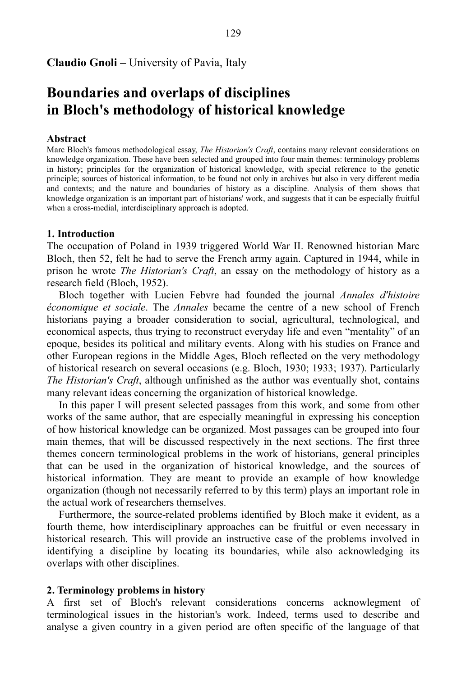# **Claudio Gnoli –** University of Pavia, Italy

# **Boundaries and overlaps of disciplines in Bloch's methodology of historical knowledge**

#### **Abstract**

Marc Bloch's famous methodological essay, *The Historian's Craft*, contains many relevant considerations on knowledge organization. These have been selected and grouped into four main themes: terminology problems in history; principles for the organization of historical knowledge, with special reference to the genetic principle; sources of historical information, to be found not only in archives but also in very different media and contexts; and the nature and boundaries of history as a discipline. Analysis of them shows that knowledge organization is an important part of historians' work, and suggests that it can be especially fruitful when a cross-medial, interdisciplinary approach is adopted.

#### **1. Introduction**

The occupation of Poland in 1939 triggered World War II. Renowned historian Marc Bloch, then 52, felt he had to serve the French army again. Captured in 1944, while in prison he wrote *The Historian's Craft*, an essay on the methodology of history as a research field (Bloch, 1952).

Bloch together with Lucien Febvre had founded the journal *Annales d'histoire économique et sociale*. The *Annales* became the centre of a new school of French historians paying a broader consideration to social, agricultural, technological, and economical aspects, thus trying to reconstruct everyday life and even "mentality" of an epoque, besides its political and military events. Along with his studies on France and other European regions in the Middle Ages, Bloch reflected on the very methodology of historical research on several occasions (e.g. Bloch, 1930; 1933; 1937). Particularly *The Historian's Craft*, although unfinished as the author was eventually shot, contains many relevant ideas concerning the organization of historical knowledge.

In this paper I will present selected passages from this work, and some from other works of the same author, that are especially meaningful in expressing his conception of how historical knowledge can be organized. Most passages can be grouped into four main themes, that will be discussed respectively in the next sections. The first three themes concern terminological problems in the work of historians, general principles that can be used in the organization of historical knowledge, and the sources of historical information. They are meant to provide an example of how knowledge organization (though not necessarily referred to by this term) plays an important role in the actual work of researchers themselves.

Furthermore, the source-related problems identified by Bloch make it evident, as a fourth theme, how interdisciplinary approaches can be fruitful or even necessary in historical research. This will provide an instructive case of the problems involved in identifying a discipline by locating its boundaries, while also acknowledging its overlaps with other disciplines.

#### **2. Terminology problems in history**

A first set of Bloch's relevant considerations concerns acknowlegment of terminological issues in the historian's work. Indeed, terms used to describe and analyse a given country in a given period are often specific of the language of that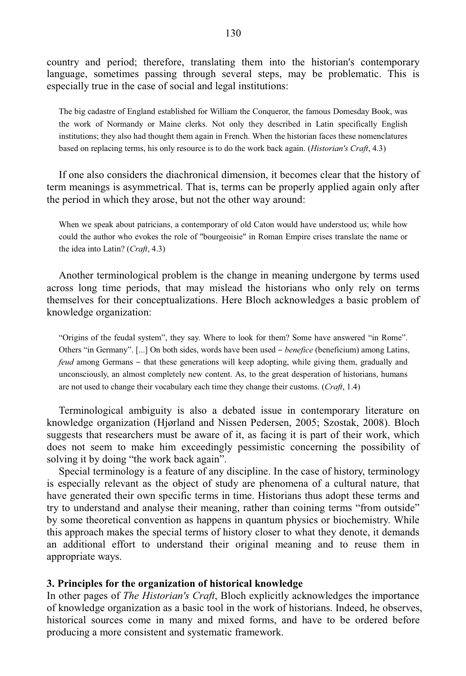country and period; therefore, translating them into the historian's contemporary language, sometimes passing through several steps, may be problematic. This is especially true in the case of social and legal institutions:

The big cadastre of England established for William the Conqueror, the famous Domesday Book, was the work of Normandy or Maine clerks. Not only they described in Latin specifically English institutions; they also had thought them again in French. When the historian faces these nomenclatures based on replacing terms, his only resource is to do the work back again. (*Historian's Craft*, 4.3)

If one also considers the diachronical dimension, it becomes clear that the history of term meanings is asymmetrical. That is, terms can be properly applied again only after the period in which they arose, but not the other way around:

When we speak about patricians, a contemporary of old Caton would have understood us; while how could the author who evokes the role of "bourgeoisie" in Roman Empire crises translate the name or the idea into Latin? (*Craft*, 4.3)

Another terminological problem is the change in meaning undergone by terms used across long time periods, that may mislead the historians who only rely on terms themselves for their conceptualizations. Here Bloch acknowledges a basic problem of knowledge organization:

"Origins of the feudal system", they say. Where to look for them? Some have answered "in Rome". Others "in Germany". [...] On both sides, words have been used *- benefice* (beneficium) among Latins, *feud* among Germans – that these generations will keep adopting, while giving them, gradually and unconsciously, an almost completely new content. As, to the great desperation of historians, humans are not used to change their vocabulary each time they change their customs. (*Craft*, 1.4)

Terminological ambiguity is also a debated issue in contemporary literature on knowledge organization (Hjørland and Nissen Pedersen, 2005; Szostak, 2008). Bloch suggests that researchers must be aware of it, as facing it is part of their work, which does not seem to make him exceedingly pessimistic concerning the possibility of solving it by doing "the work back again".

Special terminology is a feature of any discipline. In the case of history, terminology is especially relevant as the object of study are phenomena of a cultural nature, that have generated their own specific terms in time. Historians thus adopt these terms and try to understand and analyse their meaning, rather than coining terms "from outside" by some theoretical convention as happens in quantum physics or biochemistry. While this approach makes the special terms of history closer to what they denote, it demands an additional effort to understand their original meaning and to reuse them in appropriate ways.

#### **3. Principles for the organization of historical knowledge**

In other pages of *The Historian's Craft*, Bloch explicitly acknowledges the importance of knowledge organization as a basic tool in the work of historians. Indeed, he observes, historical sources come in many and mixed forms, and have to be ordered before producing a more consistent and systematic framework.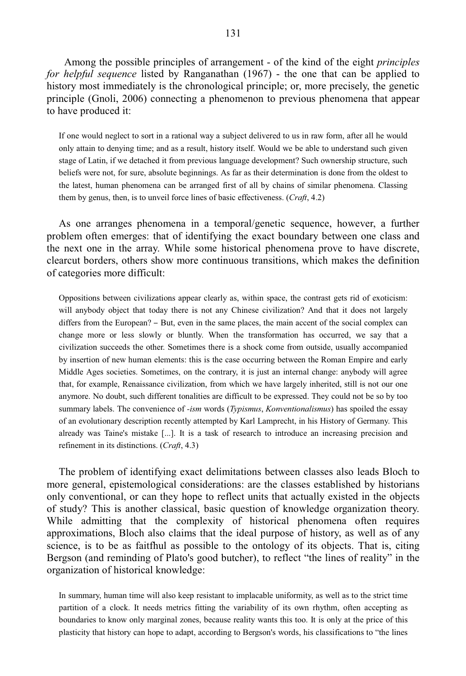131

 Among the possible principles of arrangement - of the kind of the eight *principles for helpful sequence* listed by Ranganathan (1967) - the one that can be applied to history most immediately is the chronological principle; or, more precisely, the genetic principle (Gnoli, 2006) connecting a phenomenon to previous phenomena that appear to have produced it:

If one would neglect to sort in a rational way a subject delivered to us in raw form, after all he would only attain to denying time; and as a result, history itself. Would we be able to understand such given stage of Latin, if we detached it from previous language development? Such ownership structure, such beliefs were not, for sure, absolute beginnings. As far as their determination is done from the oldest to the latest, human phenomena can be arranged first of all by chains of similar phenomena. Classing them by genus, then, is to unveil force lines of basic effectiveness. (*Craft*, 4.2)

As one arranges phenomena in a temporal/genetic sequence, however, a further problem often emerges: that of identifying the exact boundary between one class and the next one in the array. While some historical phenomena prove to have discrete, clearcut borders, others show more continuous transitions, which makes the definition of categories more difficult:

Oppositions between civilizations appear clearly as, within space, the contrast gets rid of exoticism: will anybody object that today there is not any Chinese civilization? And that it does not largely differs from the European? – But, even in the same places, the main accent of the social complex can change more or less slowly or bluntly. When the transformation has occurred, we say that a civilization succeeds the other. Sometimes there is a shock come from outside, usually accompanied by insertion of new human elements: this is the case occurring between the Roman Empire and early Middle Ages societies. Sometimes, on the contrary, it is just an internal change: anybody will agree that, for example, Renaissance civilization, from which we have largely inherited, still is not our one anymore. No doubt, such different tonalities are difficult to be expressed. They could not be so by too summary labels. The convenience of *-ism* words (*Typismus*, *Konventionalismus*) has spoiled the essay of an evolutionary description recently attempted by Karl Lamprecht, in his History of Germany. This already was Taine's mistake [...]. It is a task of research to introduce an increasing precision and refinement in its distinctions. (*Craft*, 4.3)

The problem of identifying exact delimitations between classes also leads Bloch to more general, epistemological considerations: are the classes established by historians only conventional, or can they hope to reflect units that actually existed in the objects of study? This is another classical, basic question of knowledge organization theory. While admitting that the complexity of historical phenomena often requires approximations, Bloch also claims that the ideal purpose of history, as well as of any science, is to be as faitfhul as possible to the ontology of its objects. That is, citing Bergson (and reminding of Plato's good butcher), to reflect "the lines of reality" in the organization of historical knowledge:

In summary, human time will also keep resistant to implacable uniformity, as well as to the strict time partition of a clock. It needs metrics fitting the variability of its own rhythm, often accepting as boundaries to know only marginal zones, because reality wants this too. It is only at the price of this plasticity that history can hope to adapt, according to Bergson's words, his classifications to "the lines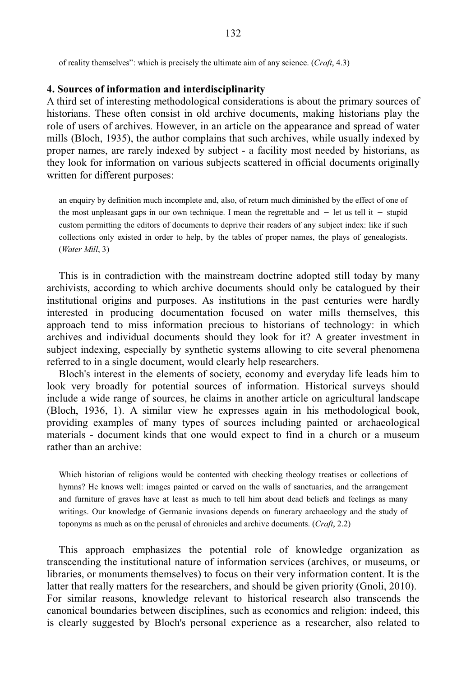of reality themselves": which is precisely the ultimate aim of any science. (*Craft*, 4.3)

#### **4. Sources of information and interdisciplinarity**

A third set of interesting methodological considerations is about the primary sources of historians. These often consist in old archive documents, making historians play the role of users of archives. However, in an article on the appearance and spread of water mills (Bloch, 1935), the author complains that such archives, while usually indexed by proper names, are rarely indexed by subject - a facility most needed by historians, as they look for information on various subjects scattered in official documents originally written for different purposes:

an enquiry by definition much incomplete and, also, of return much diminished by the effect of one of the most unpleasant gaps in our own technique. I mean the regrettable and  $-$  let us tell it  $-$  stupid custom permitting the editors of documents to deprive their readers of any subject index: like if such collections only existed in order to help, by the tables of proper names, the plays of genealogists. (*Water Mill*, 3)

This is in contradiction with the mainstream doctrine adopted still today by many archivists, according to which archive documents should only be catalogued by their institutional origins and purposes. As institutions in the past centuries were hardly interested in producing documentation focused on water mills themselves, this approach tend to miss information precious to historians of technology: in which archives and individual documents should they look for it? A greater investment in subject indexing, especially by synthetic systems allowing to cite several phenomena referred to in a single document, would clearly help researchers.

Bloch's interest in the elements of society, economy and everyday life leads him to look very broadly for potential sources of information. Historical surveys should include a wide range of sources, he claims in another article on agricultural landscape (Bloch, 1936, 1). A similar view he expresses again in his methodological book, providing examples of many types of sources including painted or archaeological materials - document kinds that one would expect to find in a church or a museum rather than an archive:

Which historian of religions would be contented with checking theology treatises or collections of hymns? He knows well: images painted or carved on the walls of sanctuaries, and the arrangement and furniture of graves have at least as much to tell him about dead beliefs and feelings as many writings. Our knowledge of Germanic invasions depends on funerary archaeology and the study of toponyms as much as on the perusal of chronicles and archive documents. (*Craft*, 2.2)

This approach emphasizes the potential role of knowledge organization as transcending the institutional nature of information services (archives, or museums, or libraries, or monuments themselves) to focus on their very information content. It is the latter that really matters for the researchers, and should be given priority (Gnoli, 2010). For similar reasons, knowledge relevant to historical research also transcends the canonical boundaries between disciplines, such as economics and religion: indeed, this is clearly suggested by Bloch's personal experience as a researcher, also related to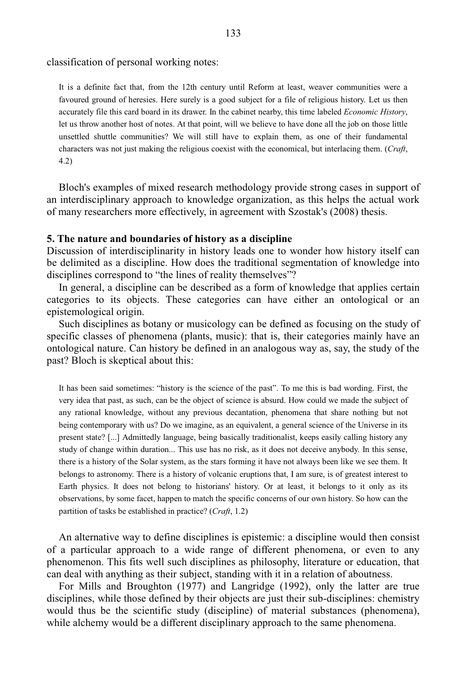classification of personal working notes:

It is a definite fact that, from the 12th century until Reform at least, weaver communities were a favoured ground of heresies. Here surely is a good subject for a file of religious history. Let us then accurately file this card board in its drawer. In the cabinet nearby, this time labeled *Economic History*, let us throw another host of notes. At that point, will we believe to have done all the job on those little unsettled shuttle communities? We will still have to explain them, as one of their fundamental characters was not just making the religious coexist with the economical, but interlacing them. (*Craft*, 4.2)

Bloch's examples of mixed research methodology provide strong cases in support of an interdisciplinary approach to knowledge organization, as this helps the actual work of many researchers more effectively, in agreement with Szostak's (2008) thesis.

#### **5. The nature and boundaries of history as a discipline**

Discussion of interdisciplinarity in history leads one to wonder how history itself can be delimited as a discipline. How does the traditional segmentation of knowledge into disciplines correspond to "the lines of reality themselves"?

In general, a discipline can be described as a form of knowledge that applies certain categories to its objects. These categories can have either an ontological or an epistemological origin.

Such disciplines as botany or musicology can be defined as focusing on the study of specific classes of phenomena (plants, music): that is, their categories mainly have an ontological nature. Can history be defined in an analogous way as, say, the study of the past? Bloch is skeptical about this:

It has been said sometimes: "history is the science of the past". To me this is bad wording. First, the very idea that past, as such, can be the object of science is absurd. How could we made the subject of any rational knowledge, without any previous decantation, phenomena that share nothing but not being contemporary with us? Do we imagine, as an equivalent, a general science of the Universe in its present state? [...] Admittedly language, being basically traditionalist, keeps easily calling history any study of change within duration... This use has no risk, as it does not deceive anybody. In this sense, there is a history of the Solar system, as the stars forming it have not always been like we see them. It belongs to astronomy. There is a history of volcanic eruptions that, I am sure, is of greatest interest to Earth physics. It does not belong to historians' history. Or at least, it belongs to it only as its observations, by some facet, happen to match the specific concerns of our own history. So how can the partition of tasks be established in practice? (*Craft*, 1.2)

An alternative way to define disciplines is epistemic: a discipline would then consist of a particular approach to a wide range of different phenomena, or even to any phenomenon. This fits well such disciplines as philosophy, literature or education, that can deal with anything as their subject, standing with it in a relation of aboutness.

For Mills and Broughton (1977) and Langridge (1992), only the latter are true disciplines, while those defined by their objects are just their sub-disciplines: chemistry would thus be the scientific study (discipline) of material substances (phenomena), while alchemy would be a different disciplinary approach to the same phenomena.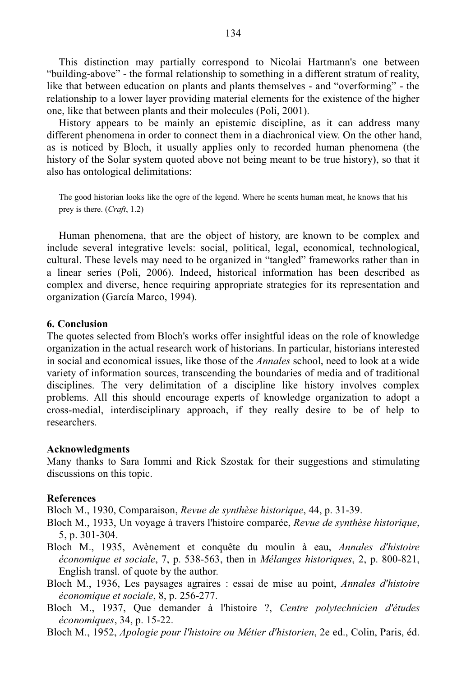This distinction may partially correspond to Nicolai Hartmann's one between "building-above" - the formal relationship to something in a different stratum of reality, like that between education on plants and plants themselves - and "overforming" - the relationship to a lower layer providing material elements for the existence of the higher one, like that between plants and their molecules (Poli, 2001).

History appears to be mainly an epistemic discipline, as it can address many different phenomena in order to connect them in a diachronical view. On the other hand, as is noticed by Bloch, it usually applies only to recorded human phenomena (the history of the Solar system quoted above not being meant to be true history), so that it also has ontological delimitations:

The good historian looks like the ogre of the legend. Where he scents human meat, he knows that his prey is there. (*Craft*, 1.2)

Human phenomena, that are the object of history, are known to be complex and include several integrative levels: social, political, legal, economical, technological, cultural. These levels may need to be organized in "tangled" frameworks rather than in a linear series (Poli, 2006). Indeed, historical information has been described as complex and diverse, hence requiring appropriate strategies for its representation and organization (García Marco, 1994).

# **6. Conclusion**

The quotes selected from Bloch's works offer insightful ideas on the role of knowledge organization in the actual research work of historians. In particular, historians interested in social and economical issues, like those of the *Annales* school, need to look at a wide variety of information sources, transcending the boundaries of media and of traditional disciplines. The very delimitation of a discipline like history involves complex problems. All this should encourage experts of knowledge organization to adopt a cross-medial, interdisciplinary approach, if they really desire to be of help to researchers.

# **Acknowledgments**

Many thanks to Sara Iommi and Rick Szostak for their suggestions and stimulating discussions on this topic.

# **References**

Bloch M., 1930, Comparaison, *Revue de synthèse historique*, 44, p. 31-39.

- Bloch M., 1933, Un voyage à travers l'histoire comparée, *Revue de synthèse historique*, 5, p. 301-304.
- Bloch M., 1935, Avènement et conquête du moulin à eau, *Annales d'histoire économique et sociale*, 7, p. 538-563, then in *Mélanges historiques*, 2, p. 800-821, English transl. of quote by the author.
- Bloch M., 1936, Les paysages agraires : essai de mise au point, *Annales d'histoire économique et sociale*, 8, p. 256-277.
- Bloch M., 1937, Que demander à l'histoire ?, *Centre polytechnicien d'études économiques*, 34, p. 15-22.
- Bloch M., 1952, *Apologie pour l'histoire ou Métier d'historien*, 2e ed., Colin, Paris, éd.